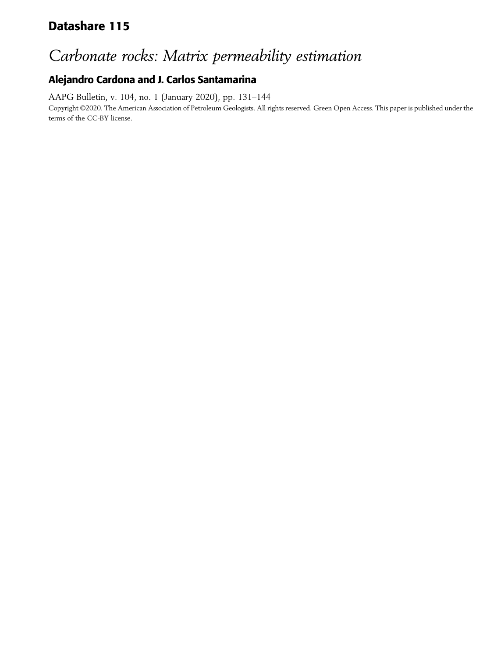## Datashare 115

## Carbonate rocks: Matrix permeability estimation

## Alejandro Cardona and J. Carlos Santamarina

AAPG Bulletin, v. 104, no. 1 (January 2020), pp. 131–144 Copyright ©2020. The American Association of Petroleum Geologists. All rights reserved. Green Open Access. This paper is published under the terms of the CC-BY license.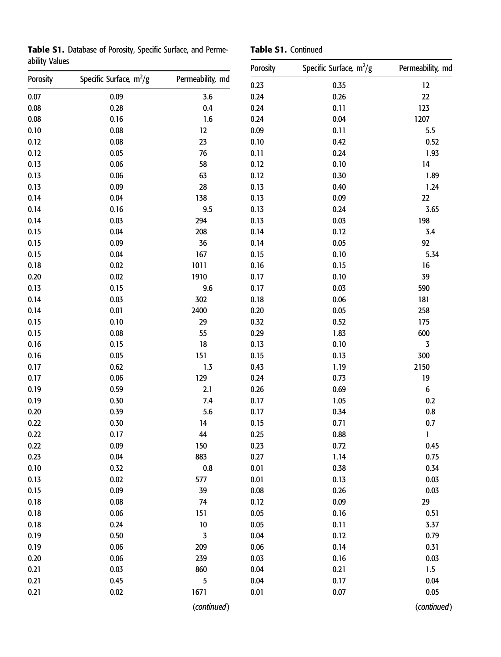Table S1. Database of Porosity, Specific Surface, and Permeability Values

|  |  | Table S1. Continued |  |
|--|--|---------------------|--|
|--|--|---------------------|--|

| ability Values |                           |                  | Porosity | Specific Surface, $m^2/g$ | Permeability, md |
|----------------|---------------------------|------------------|----------|---------------------------|------------------|
| Porosity       | Specific Surface, $m^2/g$ | Permeability, md | 0.23     | 0.35                      | 12               |
| 0.07           | 0.09                      | 3.6              | 0.24     | 0.26                      | 22               |
| 0.08           | 0.28                      | 0.4              | 0.24     | 0.11                      | 123              |
| 0.08           | 0.16                      | 1.6              | 0.24     | 0.04                      | 1207             |
| 0.10           | 0.08                      | 12               | 0.09     | 0.11                      | 5.5              |
| 0.12           | 0.08                      | 23               | 0.10     | 0.42                      | 0.52             |
| 0.12           | $0.05\,$                  | 76               | 0.11     | 0.24                      | 1.93             |
| 0.13           | 0.06                      | 58               | 0.12     | 0.10                      | 14               |
| 0.13           | 0.06                      | 63               | 0.12     | 0.30                      | 1.89             |
| 0.13           | 0.09                      | 28               | 0.13     | 0.40                      | 1.24             |
| 0.14           | 0.04                      | 138              | 0.13     | 0.09                      | 22               |
| 0.14           | 0.16                      | 9.5              | 0.13     | 0.24                      | 3.65             |
| 0.14           | 0.03                      | 294              | 0.13     | 0.03                      | 198              |
| 0.15           | 0.04                      | 208              | 0.14     | 0.12                      | 3.4              |
| 0.15           | 0.09                      | 36               | 0.14     | 0.05                      | 92               |
| 0.15           | 0.04                      | 167              | 0.15     | 0.10                      | 5.34             |
| 0.18           | 0.02                      | 1011             | 0.16     | 0.15                      | 16               |
| 0.20           | 0.02                      | 1910             | 0.17     | 0.10                      | 39               |
| 0.13           | 0.15                      | 9.6              | 0.17     | 0.03                      | 590              |
| 0.14           | 0.03                      | 302              | 0.18     | 0.06                      | 181              |
| 0.14           | 0.01                      | 2400             | 0.20     | 0.05                      | 258              |
| 0.15           | 0.10                      | 29               | 0.32     | 0.52                      | 175              |
| 0.15           | 0.08                      | 55               | 0.29     | 1.83                      | 600              |
| 0.16           | 0.15                      | 18               | 0.13     | 0.10                      | 3                |
| 0.16           | 0.05                      | 151              | 0.15     | 0.13                      | 300              |
| 0.17           | 0.62                      | 1.3              | 0.43     | 1.19                      | 2150             |
| 0.17           | 0.06                      | 129              | 0.24     | 0.73                      | 19               |
| 0.19           | 0.59                      | 2.1              | 0.26     | 0.69                      | $\boldsymbol{6}$ |
| 0.19           | 0.30                      | 7.4              | 0.17     | 1.05                      | 0.2              |
| 0.20           | 0.39                      | 5.6              | 0.17     | 0.34                      | $0.8\,$          |
| 0.22           | 0.30                      | 14               | 0.15     | 0.71                      | 0.7              |
| 0.22           | 0.17                      | 44               | 0.25     | 0.88                      | 1                |
| 0.22           | 0.09                      | 150              | 0.23     | 0.72                      | 0.45             |
| 0.23           | 0.04                      | 883              | 0.27     | 1.14                      | 0.75             |
| 0.10           | 0.32                      | $0.8\,$          | 0.01     | 0.38                      | 0.34             |
| 0.13           | 0.02                      | 577              | 0.01     | 0.13                      | 0.03             |
| 0.15           | 0.09                      | 39               | 0.08     | 0.26                      | 0.03             |
| 0.18           | 0.08                      | 74               | 0.12     | 0.09                      | 29               |
| 0.18           | 0.06                      | 151              | 0.05     | 0.16                      | $0.51\,$         |
| 0.18           | 0.24                      | $10\,$           | 0.05     | 0.11                      | 3.37             |
| 0.19           | 0.50                      | 3                | 0.04     | 0.12                      | 0.79             |
| 0.19           | 0.06                      | 209              | 0.06     | 0.14                      | 0.31             |
| 0.20           | 0.06                      | 239              | 0.03     | 0.16                      | 0.03             |
| 0.21           | 0.03                      | 860              | 0.04     | 0.21                      | 1.5              |
| 0.21           | 0.45                      | 5                | $0.04\,$ | 0.17                      | 0.04             |
| 0.21           | 0.02                      | 1671             | 0.01     | 0.07                      | 0.05             |
|                |                           | (continued)      |          |                           | (continued)      |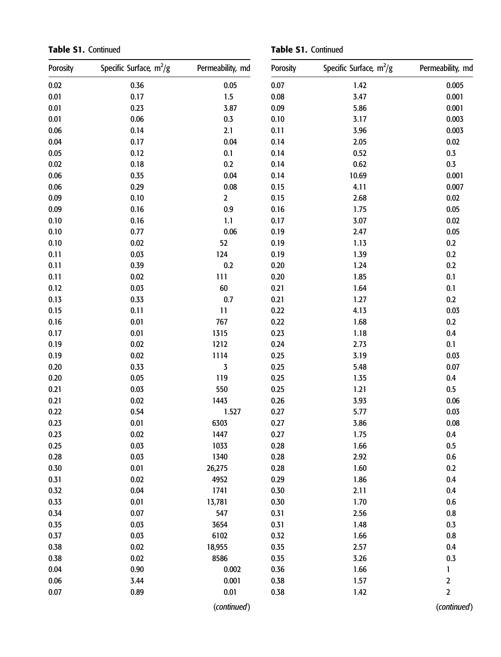Table S1. Continued

Table S1. Continued

| Porosity | Specific Surface, $m^2/g$ | Permeability, md | Porosity | Specific Surface, $m^2/g$ | Permeability, md |
|----------|---------------------------|------------------|----------|---------------------------|------------------|
| 0.02     | 0.36                      | 0.05             | 0.07     | 1.42                      | 0.005            |
| 0.01     | 0.17                      | 1.5              | 0.08     | 3.47                      | 0.001            |
| 0.01     | 0.23                      | 3.87             | 0.09     | 5.86                      | 0.001            |
| 0.01     | 0.06                      | $0.3\,$          | 0.10     | 3.17                      | 0.003            |
| 0.06     | 0.14                      | 2.1              | 0.11     | 3.96                      | 0.003            |
| 0.04     | 0.17                      | 0.04             | 0.14     | 2.05                      | 0.02             |
| 0.05     | 0.12                      | 0.1              | 0.14     | 0.52                      | $0.3\,$          |
| 0.02     | 0.18                      | $0.2\,$          | 0.14     | 0.62                      | $0.3\,$          |
| 0.06     | 0.35                      | 0.04             | 0.14     | 10.69                     | 0.001            |
| 0.06     | 0.29                      | $0.08\,$         | 0.15     | 4.11                      | 0.007            |
| 0.09     | 0.10                      | $\mathbf{2}$     | 0.15     | 2.68                      | 0.02             |
| 0.09     | 0.16                      | $0.9\,$          | 0.16     | 1.75                      | 0.05             |
| 0.10     | 0.16                      | 1.1              | 0.17     | 3.07                      | 0.02             |
| 0.10     | 0.77                      | $0.06\,$         | 0.19     | 2.47                      | $0.05\,$         |
| 0.10     | 0.02                      | 52               | 0.19     | 1.13                      | 0.2              |
| 0.11     | 0.03                      | 124              | 0.19     | 1.39                      | 0.2              |
| 0.11     | 0.39                      | 0.2              | 0.20     | 1.24                      | 0.2              |
| 0.11     | 0.02                      | 111              | 0.20     | 1.85                      | 0.1              |
| 0.12     | 0.03                      | 60               | 0.21     | 1.64                      | 0.1              |
| 0.13     | 0.33                      | 0.7              | 0.21     | 1.27                      | $0.2\,$          |
| 0.15     | 0.11                      | 11               | 0.22     | 4.13                      | 0.03             |
| 0.16     | 0.01                      | 767              | 0.22     | 1.68                      | $0.2\,$          |
| 0.17     | 0.01                      | 1315             | 0.23     | 1.18                      | 0.4              |
| 0.19     | 0.02                      | 1212             | 0.24     | 2.73                      | 0.1              |
| 0.19     | 0.02                      | 1114             | 0.25     | 3.19                      | 0.03             |
| 0.20     | 0.33                      | 3                | 0.25     | 5.48                      | 0.07             |
| 0.20     | 0.05                      | 119              | 0.25     | 1.35                      | 0.4              |
| 0.21     | 0.03                      | 550              | 0.25     | 1.21                      | $0.5\,$          |
| 0.21     | 0.02                      | 1443             | 0.26     | 3.93                      | 0.06             |
| 0.22     | 0.54                      | 1.527            | 0.27     | 5.77                      | 0.03             |
| 0.23     | 0.01                      | 6303             | 0.27     | 3.86                      | 0.08             |
| 0.23     | 0.02                      | 1447             | 0.27     | 1.75                      | $0.4\,$          |
| 0.25     | 0.03                      | 1033             | 0.28     | 1.66                      | 0.5              |
| 0.28     | 0.03                      | 1340             | 0.28     | 2.92                      | $0.6\,$          |
| 0.30     | 0.01                      | 26,275           | 0.28     | 1.60                      | 0.2              |
| 0.31     | 0.02                      | 4952             | 0.29     | 1.86                      | 0.4              |
| 0.32     | 0.04                      | 1741             | 0.30     | 2.11                      | 0.4              |
| 0.33     | 0.01                      | 13,781           | 0.30     | 1.70                      | 0.6              |
| 0.34     | 0.07                      | 547              | 0.31     | 2.56                      | $0.8\,$          |
| 0.35     | 0.03                      | 3654             | 0.31     | 1.48                      | 0.3              |
| 0.37     | 0.03                      | 6102             | 0.32     | 1.66                      | 0.8              |
| 0.38     | 0.02                      | 18,955           | 0.35     | 2.57                      | 0.4              |
| 0.38     | 0.02                      | 8586             | 0.35     | 3.26                      | 0.3              |
| 0.04     | 0.90                      | 0.002            | 0.36     | 1.66                      | 1                |
| $0.06\,$ | 3.44                      | 0.001            | 0.38     | 1.57                      | $\mathbf 2$      |
| 0.07     | 0.89                      | 0.01             | 0.38     | 1.42                      | $\overline{2}$   |
|          |                           | (continued)      |          |                           | (continued)      |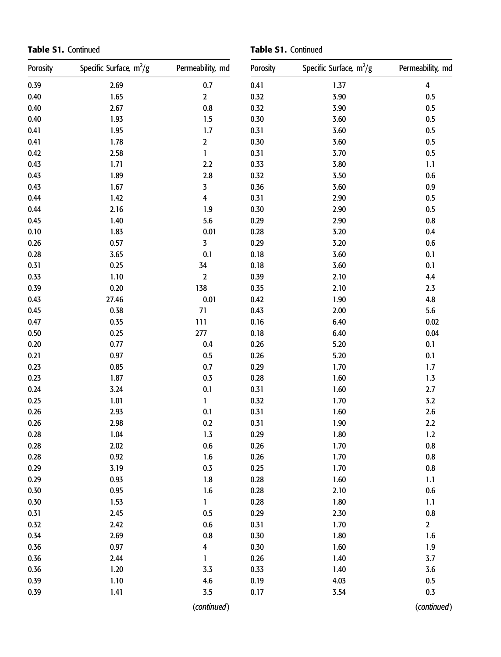Table S1. Continued

Table S1. Continued

| Porosity | Specific Surface, $m^2/g$ | Permeability, md | Porosity | Specific Surface, m <sup>2</sup> /g | Permeability, md        |
|----------|---------------------------|------------------|----------|-------------------------------------|-------------------------|
| 0.39     | 2.69                      | 0.7              | 0.41     | 1.37                                | $\overline{\mathbf{4}}$ |
| 0.40     | $1.65$                    | $\mathbf{2}$     | 0.32     | 3.90                                | 0.5                     |
| 0.40     | 2.67                      | $0.8\,$          | 0.32     | 3.90                                | 0.5                     |
| 0.40     | 1.93                      | 1.5              | 0.30     | 3.60                                | 0.5                     |
| 0.41     | 1.95                      | $1.7\,$          | 0.31     | 3.60                                | 0.5                     |
| 0.41     | 1.78                      | $\mathbf 2$      | 0.30     | 3.60                                | 0.5                     |
| 0.42     | 2.58                      | $\mathbf{1}$     | 0.31     | 3.70                                | 0.5                     |
| 0.43     | 1.71                      | $2.2$            | 0.33     | 3.80                                | 1.1                     |
| 0.43     | 1.89                      | $2.8$            | 0.32     | 3.50                                | 0.6                     |
| 0.43     | 1.67                      | 3                | 0.36     | 3.60                                | 0.9                     |
| 0.44     | 1.42                      | 4                | 0.31     | 2.90                                | $0.5\,$                 |
| 0.44     | 2.16                      | 1.9              | 0.30     | 2.90                                | 0.5                     |
| 0.45     | 1.40                      | 5.6              | 0.29     | 2.90                                | $0.8\,$                 |
| 0.10     | 1.83                      | 0.01             | 0.28     | 3.20                                | 0.4                     |
| 0.26     | 0.57                      | 3                | 0.29     | 3.20                                | 0.6                     |
| 0.28     | 3.65                      | 0.1              | 0.18     | 3.60                                | 0.1                     |
| 0.31     | 0.25                      | 34               | 0.18     | 3.60                                | 0.1                     |
| 0.33     | 1.10                      | $\mathbf 2$      | 0.39     | 2.10                                | 4.4                     |
| 0.39     | 0.20                      | 138              | 0.35     | 2.10                                | 2.3                     |
| 0.43     | 27.46                     | 0.01             | 0.42     | 1.90                                | $4.8\,$                 |
| 0.45     | 0.38                      | 71               | 0.43     | 2.00                                | 5.6                     |
| 0.47     | 0.35                      | 111              | 0.16     | 6.40                                | 0.02                    |
| $0.50\,$ | 0.25                      | 277              | 0.18     | 6.40                                | 0.04                    |
| 0.20     | 0.77                      | 0.4              | 0.26     | 5.20                                | 0.1                     |
| 0.21     | 0.97                      | 0.5              | 0.26     | 5.20                                | $0.1\,$                 |
| 0.23     | 0.85                      | $0.7\,$          | 0.29     | 1.70                                | $1.7$                   |
| 0.23     | 1.87                      | $0.3\,$          | 0.28     | 1.60                                | 1.3                     |
| 0.24     | 3.24                      | 0.1              | 0.31     | 1.60                                | 2.7                     |
| 0.25     | 1.01                      | 1                | 0.32     | 1.70                                | 3.2                     |
| 0.26     | 2.93                      | 0.1              | 0.31     | 1.60                                | 2.6                     |
| 0.26     | 2.98                      | $0.2\,$          | 0.31     | 1.90                                | 2.2                     |
| 0.28     | 1.04                      | 1.3              | 0.29     | 1.80                                | $1.2$                   |
| 0.28     | 2.02                      | 0.6              | 0.26     | 1.70                                | 0.8                     |
| 0.28     | 0.92                      | 1.6              | 0.26     | 1.70                                | $0.8\,$                 |
| 0.29     | 3.19                      | $0.3\,$          | 0.25     | 1.70                                | $0.8\,$                 |
| 0.29     | 0.93                      | 1.8              | 0.28     | 1.60                                | 1.1                     |
| 0.30     | 0.95                      | 1.6              | 0.28     | 2.10                                | 0.6                     |
| 0.30     | 1.53                      | 1                | 0.28     | 1.80                                | 1.1                     |
| 0.31     | 2.45                      | 0.5              | 0.29     | 2.30                                | $0.8\,$                 |
| 0.32     | 2.42                      | 0.6              | 0.31     | 1.70                                | $\mathbf{2}$            |
| 0.34     | 2.69                      | 0.8              | 0.30     | 1.80                                | 1.6                     |
| 0.36     | 0.97                      | 4                | 0.30     | 1.60                                | 1.9                     |
| 0.36     | 2.44                      | 1                | 0.26     | 1.40                                | 3.7                     |
| 0.36     | 1.20                      | 3.3              | 0.33     | 1.40                                | 3.6                     |
| 0.39     | 1.10                      | 4.6              | 0.19     | 4.03                                | 0.5                     |
| 0.39     | 1.41                      | 3.5              | 0.17     | 3.54                                | 0.3                     |
|          |                           | (continued)      |          |                                     | (continued)             |